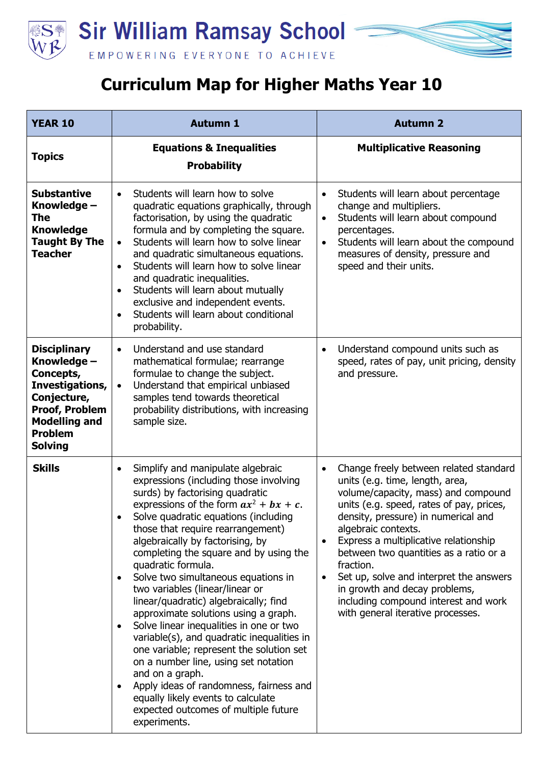

## **Curriculum Map for Higher Maths Year 10**

| <b>YEAR 10</b>                                                                                                                                                         | <b>Autumn 1</b>                                                                                                                                                                                                                                                                                                                                                                                                                                                                                                                                                                                                                                                                                                                                                                                                                                               | <b>Autumn 2</b>                                                                                                                                                                                                                                                                                                                                                                                                                                                                                  |
|------------------------------------------------------------------------------------------------------------------------------------------------------------------------|---------------------------------------------------------------------------------------------------------------------------------------------------------------------------------------------------------------------------------------------------------------------------------------------------------------------------------------------------------------------------------------------------------------------------------------------------------------------------------------------------------------------------------------------------------------------------------------------------------------------------------------------------------------------------------------------------------------------------------------------------------------------------------------------------------------------------------------------------------------|--------------------------------------------------------------------------------------------------------------------------------------------------------------------------------------------------------------------------------------------------------------------------------------------------------------------------------------------------------------------------------------------------------------------------------------------------------------------------------------------------|
| <b>Topics</b>                                                                                                                                                          | <b>Equations &amp; Inequalities</b><br><b>Probability</b>                                                                                                                                                                                                                                                                                                                                                                                                                                                                                                                                                                                                                                                                                                                                                                                                     | <b>Multiplicative Reasoning</b>                                                                                                                                                                                                                                                                                                                                                                                                                                                                  |
| <b>Substantive</b><br>Knowledge -<br>The<br><b>Knowledge</b><br><b>Taught By The</b><br><b>Teacher</b>                                                                 | Students will learn how to solve<br>$\bullet$<br>quadratic equations graphically, through<br>factorisation, by using the quadratic<br>formula and by completing the square.<br>Students will learn how to solve linear<br>$\bullet$<br>and quadratic simultaneous equations.<br>Students will learn how to solve linear<br>and quadratic inequalities.<br>Students will learn about mutually<br>$\bullet$<br>exclusive and independent events.<br>Students will learn about conditional<br>probability.                                                                                                                                                                                                                                                                                                                                                       | Students will learn about percentage<br>$\bullet$<br>change and multipliers.<br>Students will learn about compound<br>$\bullet$<br>percentages.<br>Students will learn about the compound<br>$\bullet$<br>measures of density, pressure and<br>speed and their units.                                                                                                                                                                                                                            |
| <b>Disciplinary</b><br>Knowledge -<br>Concepts,<br>Investigations,<br>Conjecture,<br><b>Proof, Problem</b><br><b>Modelling and</b><br><b>Problem</b><br><b>Solving</b> | Understand and use standard<br>$\bullet$<br>mathematical formulae; rearrange<br>formulae to change the subject.<br>Understand that empirical unbiased<br>$\bullet$<br>samples tend towards theoretical<br>probability distributions, with increasing<br>sample size.                                                                                                                                                                                                                                                                                                                                                                                                                                                                                                                                                                                          | Understand compound units such as<br>$\bullet$<br>speed, rates of pay, unit pricing, density<br>and pressure.                                                                                                                                                                                                                                                                                                                                                                                    |
| <b>Skills</b>                                                                                                                                                          | Simplify and manipulate algebraic<br>$\bullet$<br>expressions (including those involving<br>surds) by factorising quadratic<br>expressions of the form $ax^2 + bx + c$ .<br>Solve quadratic equations (including<br>those that require rearrangement)<br>algebraically by factorising, by<br>completing the square and by using the<br>quadratic formula.<br>Solve two simultaneous equations in<br>two variables (linear/linear or<br>linear/quadratic) algebraically; find<br>approximate solutions using a graph.<br>Solve linear inequalities in one or two<br>variable(s), and quadratic inequalities in<br>one variable; represent the solution set<br>on a number line, using set notation<br>and on a graph.<br>Apply ideas of randomness, fairness and<br>equally likely events to calculate<br>expected outcomes of multiple future<br>experiments. | Change freely between related standard<br>$\bullet$<br>units (e.g. time, length, area,<br>volume/capacity, mass) and compound<br>units (e.g. speed, rates of pay, prices,<br>density, pressure) in numerical and<br>algebraic contexts.<br>Express a multiplicative relationship<br>between two quantities as a ratio or a<br>fraction.<br>Set up, solve and interpret the answers<br>in growth and decay problems,<br>including compound interest and work<br>with general iterative processes. |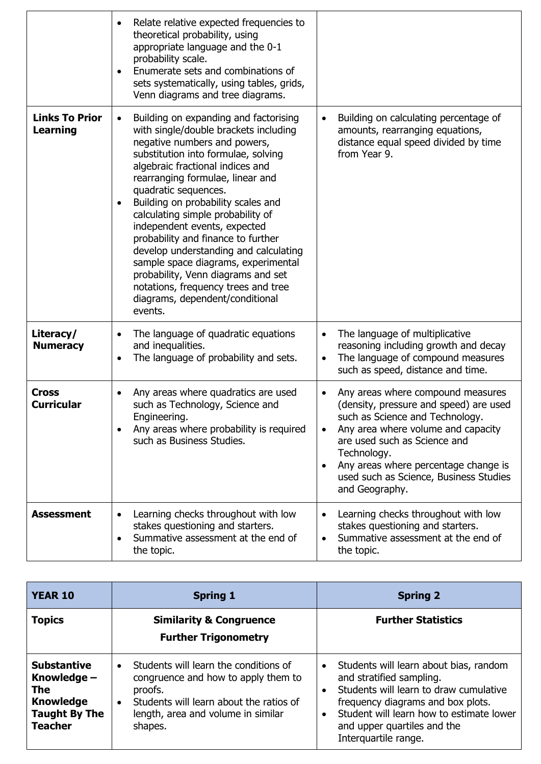|                                          | Relate relative expected frequencies to<br>theoretical probability, using<br>appropriate language and the 0-1<br>probability scale.<br>Enumerate sets and combinations of<br>sets systematically, using tables, grids,<br>Venn diagrams and tree diagrams.                                                                                                                                                                                                                                                                                                                                                                          |                                                                                                                                                                                                                                                                                                                                   |
|------------------------------------------|-------------------------------------------------------------------------------------------------------------------------------------------------------------------------------------------------------------------------------------------------------------------------------------------------------------------------------------------------------------------------------------------------------------------------------------------------------------------------------------------------------------------------------------------------------------------------------------------------------------------------------------|-----------------------------------------------------------------------------------------------------------------------------------------------------------------------------------------------------------------------------------------------------------------------------------------------------------------------------------|
| <b>Links To Prior</b><br><b>Learning</b> | Building on expanding and factorising<br>٠<br>with single/double brackets including<br>negative numbers and powers,<br>substitution into formulae, solving<br>algebraic fractional indices and<br>rearranging formulae, linear and<br>quadratic sequences.<br>Building on probability scales and<br>$\bullet$<br>calculating simple probability of<br>independent events, expected<br>probability and finance to further<br>develop understanding and calculating<br>sample space diagrams, experimental<br>probability, Venn diagrams and set<br>notations, frequency trees and tree<br>diagrams, dependent/conditional<br>events. | Building on calculating percentage of<br>amounts, rearranging equations,<br>distance equal speed divided by time<br>from Year 9.                                                                                                                                                                                                  |
| Literacy/<br><b>Numeracy</b>             | The language of quadratic equations<br>and inequalities.<br>The language of probability and sets.                                                                                                                                                                                                                                                                                                                                                                                                                                                                                                                                   | The language of multiplicative<br>$\bullet$<br>reasoning including growth and decay<br>The language of compound measures<br>such as speed, distance and time.                                                                                                                                                                     |
| <b>Cross</b><br><b>Curricular</b>        | Any areas where quadratics are used<br>such as Technology, Science and<br>Engineering.<br>Any areas where probability is required<br>such as Business Studies.                                                                                                                                                                                                                                                                                                                                                                                                                                                                      | Any areas where compound measures<br>$\bullet$<br>(density, pressure and speed) are used<br>such as Science and Technology.<br>Any area where volume and capacity<br>are used such as Science and<br>Technology.<br>Any areas where percentage change is<br>$\bullet$<br>used such as Science, Business Studies<br>and Geography. |
| <b>Assessment</b>                        | Learning checks throughout with low<br>stakes questioning and starters.<br>Summative assessment at the end of<br>the topic.                                                                                                                                                                                                                                                                                                                                                                                                                                                                                                         | Learning checks throughout with low<br>stakes questioning and starters.<br>Summative assessment at the end of<br>the topic.                                                                                                                                                                                                       |

| <b>YEAR 10</b>                                                                                                  | <b>Spring 1</b>                                                                                                                                                                                               | <b>Spring 2</b>                                                                                                                                                                                                                                                   |
|-----------------------------------------------------------------------------------------------------------------|---------------------------------------------------------------------------------------------------------------------------------------------------------------------------------------------------------------|-------------------------------------------------------------------------------------------------------------------------------------------------------------------------------------------------------------------------------------------------------------------|
| <b>Topics</b>                                                                                                   | <b>Similarity &amp; Congruence</b><br><b>Further Trigonometry</b>                                                                                                                                             | <b>Further Statistics</b>                                                                                                                                                                                                                                         |
| <b>Substantive</b><br>Knowledge $-$<br><b>The</b><br><b>Knowledge</b><br><b>Taught By The</b><br><b>Teacher</b> | Students will learn the conditions of<br>$\bullet$<br>congruence and how to apply them to<br>proofs.<br>Students will learn about the ratios of<br>$\bullet$<br>length, area and volume in similar<br>shapes. | Students will learn about bias, random<br>$\bullet$<br>and stratified sampling.<br>Students will learn to draw cumulative<br>frequency diagrams and box plots.<br>Student will learn how to estimate lower<br>and upper quartiles and the<br>Interquartile range. |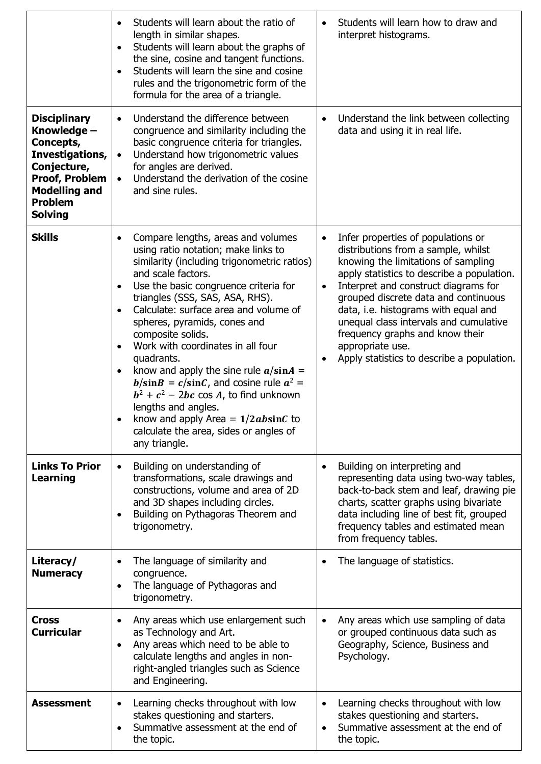|                                                                                                                                                                        | Students will learn about the ratio of<br>$\bullet$                                                                                                                                                                                                                                                                                                                                                                                                                                                                                                                                                                                                                         | Students will learn how to draw and                                                                                                                                                                                                                                                                                                                                                                                                                                          |
|------------------------------------------------------------------------------------------------------------------------------------------------------------------------|-----------------------------------------------------------------------------------------------------------------------------------------------------------------------------------------------------------------------------------------------------------------------------------------------------------------------------------------------------------------------------------------------------------------------------------------------------------------------------------------------------------------------------------------------------------------------------------------------------------------------------------------------------------------------------|------------------------------------------------------------------------------------------------------------------------------------------------------------------------------------------------------------------------------------------------------------------------------------------------------------------------------------------------------------------------------------------------------------------------------------------------------------------------------|
|                                                                                                                                                                        | length in similar shapes.<br>Students will learn about the graphs of<br>$\bullet$<br>the sine, cosine and tangent functions.<br>Students will learn the sine and cosine<br>$\bullet$<br>rules and the trigonometric form of the<br>formula for the area of a triangle.                                                                                                                                                                                                                                                                                                                                                                                                      | interpret histograms.                                                                                                                                                                                                                                                                                                                                                                                                                                                        |
| <b>Disciplinary</b><br>Knowledge -<br>Concepts,<br>Investigations,<br>Conjecture,<br><b>Proof, Problem</b><br><b>Modelling and</b><br><b>Problem</b><br><b>Solving</b> | Understand the difference between<br>$\bullet$<br>congruence and similarity including the<br>basic congruence criteria for triangles.<br>Understand how trigonometric values<br>$\bullet$<br>for angles are derived.<br>Understand the derivation of the cosine<br>$\bullet$<br>and sine rules.                                                                                                                                                                                                                                                                                                                                                                             | Understand the link between collecting<br>$\bullet$<br>data and using it in real life.                                                                                                                                                                                                                                                                                                                                                                                       |
| <b>Skills</b>                                                                                                                                                          | Compare lengths, areas and volumes<br>using ratio notation; make links to<br>similarity (including trigonometric ratios)<br>and scale factors.<br>Use the basic congruence criteria for<br>$\bullet$<br>triangles (SSS, SAS, ASA, RHS).<br>Calculate: surface area and volume of<br>spheres, pyramids, cones and<br>composite solids.<br>Work with coordinates in all four<br>quadrants.<br>know and apply the sine rule $a/sinA =$<br>$\bullet$<br>$b/\sin B = c/\sin C$ , and cosine rule $a^2 =$<br>$b^2 + c^2 - 2bc \cos A$ , to find unknown<br>lengths and angles.<br>know and apply Area = $1/2absinC$ to<br>calculate the area, sides or angles of<br>any triangle. | Infer properties of populations or<br>$\bullet$<br>distributions from a sample, whilst<br>knowing the limitations of sampling<br>apply statistics to describe a population.<br>Interpret and construct diagrams for<br>$\bullet$<br>grouped discrete data and continuous<br>data, i.e. histograms with equal and<br>unequal class intervals and cumulative<br>frequency graphs and know their<br>appropriate use.<br>Apply statistics to describe a population.<br>$\bullet$ |
| <b>Links To Prior</b><br><b>Learning</b>                                                                                                                               | Building on understanding of<br>$\bullet$<br>transformations, scale drawings and<br>constructions, volume and area of 2D<br>and 3D shapes including circles.<br>Building on Pythagoras Theorem and<br>$\bullet$<br>trigonometry.                                                                                                                                                                                                                                                                                                                                                                                                                                            | Building on interpreting and<br>$\bullet$<br>representing data using two-way tables,<br>back-to-back stem and leaf, drawing pie<br>charts, scatter graphs using bivariate<br>data including line of best fit, grouped<br>frequency tables and estimated mean<br>from frequency tables.                                                                                                                                                                                       |
| Literacy/<br><b>Numeracy</b>                                                                                                                                           | The language of similarity and<br>$\bullet$<br>congruence.<br>The language of Pythagoras and<br>trigonometry.                                                                                                                                                                                                                                                                                                                                                                                                                                                                                                                                                               | The language of statistics.<br>$\bullet$                                                                                                                                                                                                                                                                                                                                                                                                                                     |
| <b>Cross</b><br><b>Curricular</b>                                                                                                                                      | Any areas which use enlargement such<br>$\bullet$<br>as Technology and Art.<br>Any areas which need to be able to<br>$\bullet$<br>calculate lengths and angles in non-<br>right-angled triangles such as Science<br>and Engineering.                                                                                                                                                                                                                                                                                                                                                                                                                                        | Any areas which use sampling of data<br>$\bullet$<br>or grouped continuous data such as<br>Geography, Science, Business and<br>Psychology.                                                                                                                                                                                                                                                                                                                                   |
| <b>Assessment</b>                                                                                                                                                      | Learning checks throughout with low<br>$\bullet$<br>stakes questioning and starters.<br>Summative assessment at the end of<br>the topic.                                                                                                                                                                                                                                                                                                                                                                                                                                                                                                                                    | Learning checks throughout with low<br>$\bullet$<br>stakes questioning and starters.<br>Summative assessment at the end of<br>the topic.                                                                                                                                                                                                                                                                                                                                     |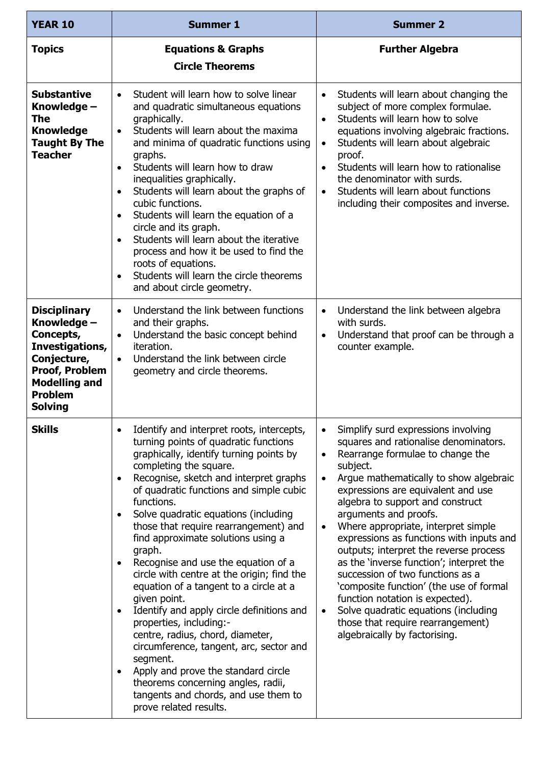| <b>YEAR 10</b>                                                                                                                                                  | <b>Summer 1</b>                                                                                                                                                                                                                                                                                                                                                                                                                                                                                                                                                                                                                                                                                                                                                                                                                                              | <b>Summer 2</b>                                                                                                                                                                                                                                                                                                                                                                                                                                                                                                                                                                                                                                                                                 |
|-----------------------------------------------------------------------------------------------------------------------------------------------------------------|--------------------------------------------------------------------------------------------------------------------------------------------------------------------------------------------------------------------------------------------------------------------------------------------------------------------------------------------------------------------------------------------------------------------------------------------------------------------------------------------------------------------------------------------------------------------------------------------------------------------------------------------------------------------------------------------------------------------------------------------------------------------------------------------------------------------------------------------------------------|-------------------------------------------------------------------------------------------------------------------------------------------------------------------------------------------------------------------------------------------------------------------------------------------------------------------------------------------------------------------------------------------------------------------------------------------------------------------------------------------------------------------------------------------------------------------------------------------------------------------------------------------------------------------------------------------------|
| <b>Topics</b>                                                                                                                                                   | <b>Equations &amp; Graphs</b><br><b>Circle Theorems</b>                                                                                                                                                                                                                                                                                                                                                                                                                                                                                                                                                                                                                                                                                                                                                                                                      | <b>Further Algebra</b>                                                                                                                                                                                                                                                                                                                                                                                                                                                                                                                                                                                                                                                                          |
| <b>Substantive</b><br>Knowledge -<br>The<br><b>Knowledge</b><br><b>Taught By The</b><br><b>Teacher</b>                                                          | Student will learn how to solve linear<br>$\bullet$<br>and quadratic simultaneous equations<br>graphically.<br>Students will learn about the maxima<br>$\bullet$<br>and minima of quadratic functions using<br>graphs.<br>Students will learn how to draw<br>$\bullet$<br>inequalities graphically.<br>Students will learn about the graphs of<br>cubic functions.<br>Students will learn the equation of a<br>$\bullet$<br>circle and its graph.<br>Students will learn about the iterative<br>process and how it be used to find the<br>roots of equations.<br>Students will learn the circle theorems<br>$\bullet$<br>and about circle geometry.                                                                                                                                                                                                          | Students will learn about changing the<br>$\bullet$<br>subject of more complex formulae.<br>Students will learn how to solve<br>$\bullet$<br>equations involving algebraic fractions.<br>Students will learn about algebraic<br>$\bullet$<br>proof.<br>Students will learn how to rationalise<br>$\bullet$<br>the denominator with surds.<br>Students will learn about functions<br>$\bullet$<br>including their composites and inverse.                                                                                                                                                                                                                                                        |
| <b>Disciplinary</b><br>Knowledge -<br>Concepts,<br>Investigations,<br>Conjecture,<br>Proof, Problem<br><b>Modelling and</b><br><b>Problem</b><br><b>Solving</b> | Understand the link between functions<br>$\bullet$<br>and their graphs.<br>Understand the basic concept behind<br>$\bullet$<br>iteration.<br>Understand the link between circle<br>$\bullet$<br>geometry and circle theorems.                                                                                                                                                                                                                                                                                                                                                                                                                                                                                                                                                                                                                                | Understand the link between algebra<br>$\bullet$<br>with surds.<br>Understand that proof can be through a<br>$\bullet$<br>counter example.                                                                                                                                                                                                                                                                                                                                                                                                                                                                                                                                                      |
| <b>Skills</b>                                                                                                                                                   | Identify and interpret roots, intercepts,<br>turning points of quadratic functions<br>graphically, identify turning points by<br>completing the square.<br>Recognise, sketch and interpret graphs<br>of quadratic functions and simple cubic<br>functions.<br>Solve quadratic equations (including<br>those that require rearrangement) and<br>find approximate solutions using a<br>graph.<br>Recognise and use the equation of a<br>circle with centre at the origin; find the<br>equation of a tangent to a circle at a<br>given point.<br>Identify and apply circle definitions and<br>properties, including:-<br>centre, radius, chord, diameter,<br>circumference, tangent, arc, sector and<br>segment.<br>Apply and prove the standard circle<br>theorems concerning angles, radii,<br>tangents and chords, and use them to<br>prove related results. | Simplify surd expressions involving<br>squares and rationalise denominators.<br>Rearrange formulae to change the<br>$\bullet$<br>subject.<br>Argue mathematically to show algebraic<br>expressions are equivalent and use<br>algebra to support and construct<br>arguments and proofs.<br>Where appropriate, interpret simple<br>expressions as functions with inputs and<br>outputs; interpret the reverse process<br>as the 'inverse function'; interpret the<br>succession of two functions as a<br>'composite function' (the use of formal<br>function notation is expected).<br>Solve quadratic equations (including<br>those that require rearrangement)<br>algebraically by factorising. |